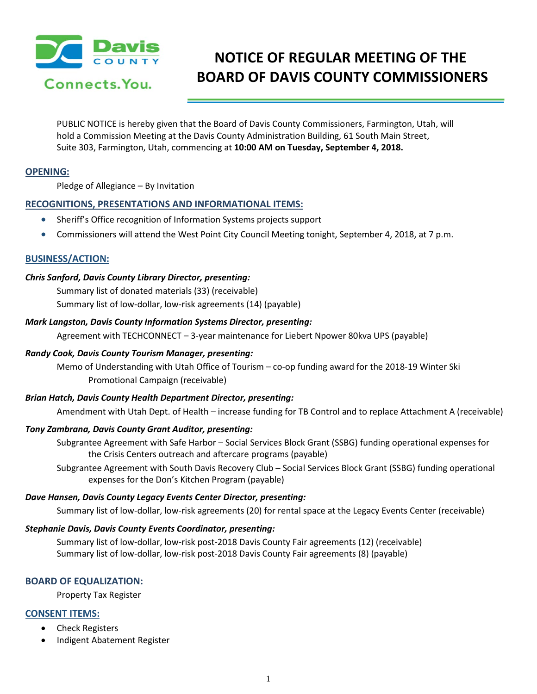

# **NOTICE OF REGULAR MEETING OF THE BOARD OF DAVIS COUNTY COMMISSIONERS**

PUBLIC NOTICE is hereby given that the Board of Davis County Commissioners, Farmington, Utah, will hold a Commission Meeting at the Davis County Administration Building, 61 South Main Street, Suite 303, Farmington, Utah, commencing at **10:00 AM on Tuesday, September 4, 2018.**

## **OPENING:**

Pledge of Allegiance – By Invitation

# **RECOGNITIONS, PRESENTATIONS AND INFORMATIONAL ITEMS:**

- Sheriff's Office recognition of Information Systems projects support
- Commissioners will attend the West Point City Council Meeting tonight, September 4, 2018, at 7 p.m.

#### **BUSINESS/ACTION:**

#### *Chris Sanford, Davis County Library Director, presenting:*

Summary list of donated materials (33) (receivable) Summary list of low-dollar, low-risk agreements (14) (payable)

#### *Mark Langston, Davis County Information Systems Director, presenting:*

Agreement with TECHCONNECT – 3-year maintenance for Liebert Npower 80kva UPS (payable)

## *Randy Cook, Davis County Tourism Manager, presenting:*

Memo of Understanding with Utah Office of Tourism – co-op funding award for the 2018-19 Winter Ski Promotional Campaign (receivable)

#### *Brian Hatch, Davis County Health Department Director, presenting:*

Amendment with Utah Dept. of Health – increase funding for TB Control and to replace Attachment A (receivable)

## *Tony Zambrana, Davis County Grant Auditor, presenting:*

Subgrantee Agreement with Safe Harbor – Social Services Block Grant (SSBG) funding operational expenses for the Crisis Centers outreach and aftercare programs (payable)

Subgrantee Agreement with South Davis Recovery Club – Social Services Block Grant (SSBG) funding operational expenses for the Don's Kitchen Program (payable)

## *Dave Hansen, Davis County Legacy Events Center Director, presenting:*

Summary list of low-dollar, low-risk agreements (20) for rental space at the Legacy Events Center (receivable)

#### *Stephanie Davis, Davis County Events Coordinator, presenting:*

Summary list of low-dollar, low-risk post-2018 Davis County Fair agreements (12) (receivable) Summary list of low-dollar, low-risk post-2018 Davis County Fair agreements (8) (payable)

## **BOARD OF EQUALIZATION:**

Property Tax Register

## **CONSENT ITEMS:**

- Check Registers
- Indigent Abatement Register